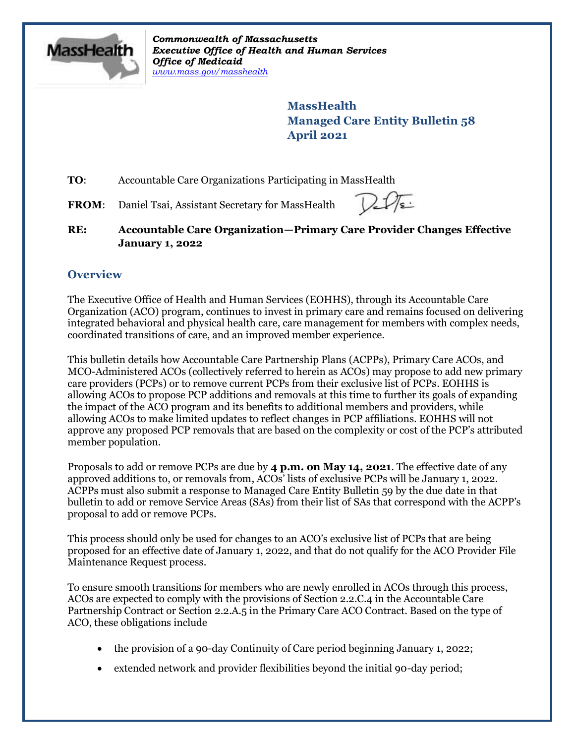

*Commonwealth of Massachusetts Executive Office of Health and Human Services Office of Medicaid [www.mass.gov/masshealth](http://www.mass.gov/masshealth)*

> **MassHealth Managed Care Entity Bulletin 58 April 2021**

**TO:** Accountable Care Organizations Participating in MassHealth

FROM: Daniel Tsai, Assistant Secretary for MassHealth

**RE: Accountable Care Organization—Primary Care Provider Changes Effective January 1, 2022**

## **Overview**

The Executive Office of Health and Human Services (EOHHS), through its Accountable Care Organization (ACO) program, continues to invest in primary care and remains focused on delivering integrated behavioral and physical health care, care management for members with complex needs, coordinated transitions of care, and an improved member experience.

This bulletin details how Accountable Care Partnership Plans (ACPPs), Primary Care ACOs, and MCO-Administered ACOs (collectively referred to herein as ACOs) may propose to add new primary care providers (PCPs) or to remove current PCPs from their exclusive list of PCPs. EOHHS is allowing ACOs to propose PCP additions and removals at this time to further its goals of expanding the impact of the ACO program and its benefits to additional members and providers, while allowing ACOs to make limited updates to reflect changes in PCP affiliations. EOHHS will not approve any proposed PCP removals that are based on the complexity or cost of the PCP's attributed member population.

Proposals to add or remove PCPs are due by **4 p.m. on May 14, 2021**. The effective date of any approved additions to, or removals from, ACOs' lists of exclusive PCPs will be January 1, 2022. ACPPs must also submit a response to Managed Care Entity Bulletin 59 by the due date in that bulletin to add or remove Service Areas (SAs) from their list of SAs that correspond with the ACPP's proposal to add or remove PCPs.

This process should only be used for changes to an ACO's exclusive list of PCPs that are being proposed for an effective date of January 1, 2022, and that do not qualify for the ACO Provider File Maintenance Request process.

To ensure smooth transitions for members who are newly enrolled in ACOs through this process, ACOs are expected to comply with the provisions of Section 2.2.C.4 in the Accountable Care Partnership Contract or Section 2.2.A.5 in the Primary Care ACO Contract. Based on the type of ACO, these obligations include

- the provision of a 90-day Continuity of Care period beginning January 1, 2022;
- extended network and provider flexibilities beyond the initial 90-day period;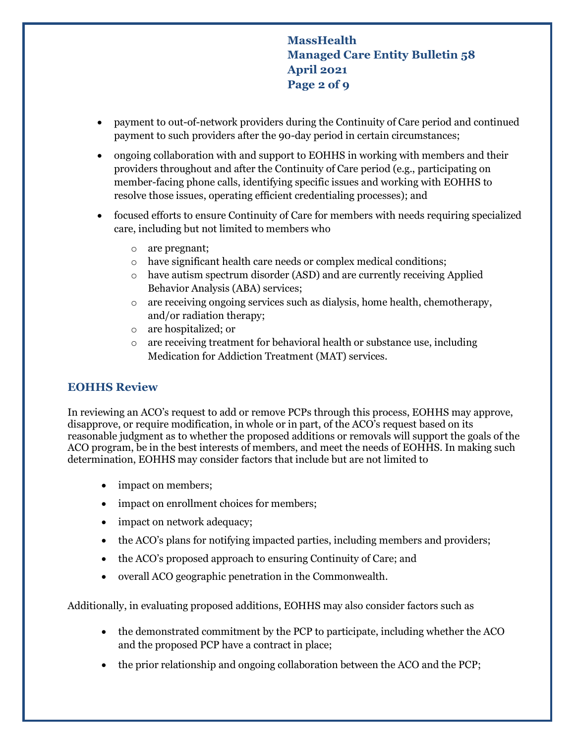**MassHealth Managed Care Entity Bulletin 58 April 2021 Page 2 of 9**

- payment to out-of-network providers during the Continuity of Care period and continued payment to such providers after the 90-day period in certain circumstances;
- ongoing collaboration with and support to EOHHS in working with members and their providers throughout and after the Continuity of Care period (e.g., participating on member-facing phone calls, identifying specific issues and working with EOHHS to resolve those issues, operating efficient credentialing processes); and
- focused efforts to ensure Continuity of Care for members with needs requiring specialized care, including but not limited to members who
	- o are pregnant;
	- o have significant health care needs or complex medical conditions;
	- o have autism spectrum disorder (ASD) and are currently receiving Applied Behavior Analysis (ABA) services;
	- $\circ$  are receiving ongoing services such as dialysis, home health, chemotherapy, and/or radiation therapy;
	- o are hospitalized; or
	- o are receiving treatment for behavioral health or substance use, including Medication for Addiction Treatment (MAT) services.

### **EOHHS Review**

In reviewing an ACO's request to add or remove PCPs through this process, EOHHS may approve, disapprove, or require modification, in whole or in part, of the ACO's request based on its reasonable judgment as to whether the proposed additions or removals will support the goals of the ACO program, be in the best interests of members, and meet the needs of EOHHS. In making such determination, EOHHS may consider factors that include but are not limited to

- impact on members;
- impact on enrollment choices for members;
- impact on network adequacy;
- the ACO's plans for notifying impacted parties, including members and providers;
- the ACO's proposed approach to ensuring Continuity of Care; and
- overall ACO geographic penetration in the Commonwealth.

Additionally, in evaluating proposed additions, EOHHS may also consider factors such as

- the demonstrated commitment by the PCP to participate, including whether the ACO and the proposed PCP have a contract in place;
- the prior relationship and ongoing collaboration between the ACO and the PCP;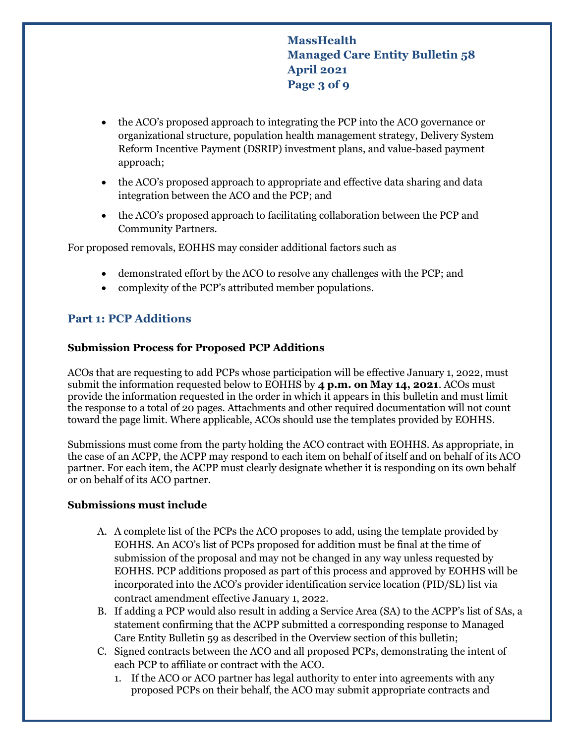# **MassHealth Managed Care Entity Bulletin 58 April 2021 Page 3 of 9**

- the ACO's proposed approach to integrating the PCP into the ACO governance or organizational structure, population health management strategy, Delivery System Reform Incentive Payment (DSRIP) investment plans, and value-based payment approach;
- the ACO's proposed approach to appropriate and effective data sharing and data integration between the ACO and the PCP; and
- the ACO's proposed approach to facilitating collaboration between the PCP and Community Partners.

For proposed removals, EOHHS may consider additional factors such as

- demonstrated effort by the ACO to resolve any challenges with the PCP; and
- complexity of the PCP's attributed member populations.

## **Part 1: PCP Additions**

#### **Submission Process for Proposed PCP Additions**

ACOs that are requesting to add PCPs whose participation will be effective January 1, 2022, must submit the information requested below to EOHHS by **4 p.m. on May 14, 2021**. ACOs must provide the information requested in the order in which it appears in this bulletin and must limit the response to a total of 20 pages. Attachments and other required documentation will not count toward the page limit. Where applicable, ACOs should use the templates provided by EOHHS.

Submissions must come from the party holding the ACO contract with EOHHS. As appropriate, in the case of an ACPP, the ACPP may respond to each item on behalf of itself and on behalf of its ACO partner. For each item, the ACPP must clearly designate whether it is responding on its own behalf or on behalf of its ACO partner.

#### **Submissions must include**

- A. A complete list of the PCPs the ACO proposes to add, using the template provided by EOHHS. An ACO's list of PCPs proposed for addition must be final at the time of submission of the proposal and may not be changed in any way unless requested by EOHHS. PCP additions proposed as part of this process and approved by EOHHS will be incorporated into the ACO's provider identification service location (PID/SL) list via contract amendment effective January 1, 2022.
- B. If adding a PCP would also result in adding a Service Area (SA) to the ACPP's list of SAs, a statement confirming that the ACPP submitted a corresponding response to Managed Care Entity Bulletin 59 as described in the Overview section of this bulletin;
- C. Signed contracts between the ACO and all proposed PCPs, demonstrating the intent of each PCP to affiliate or contract with the ACO.
	- 1. If the ACO or ACO partner has legal authority to enter into agreements with any proposed PCPs on their behalf, the ACO may submit appropriate contracts and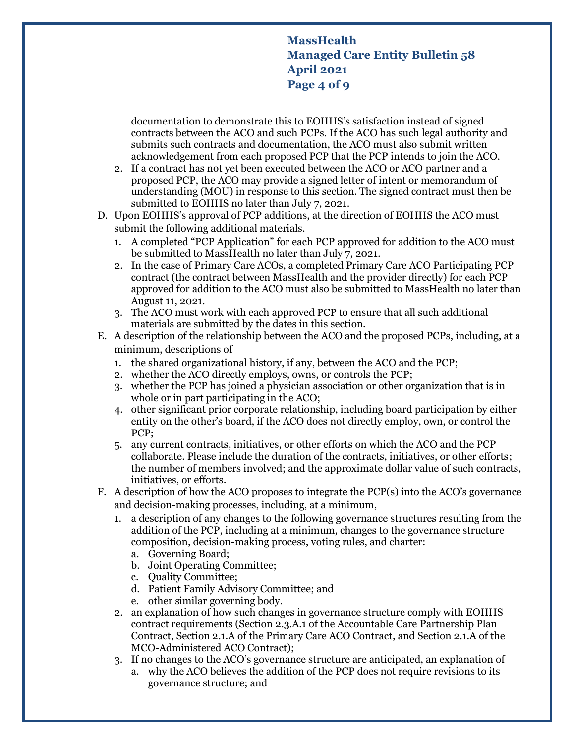**MassHealth Managed Care Entity Bulletin 58 April 2021 Page 4 of 9**

documentation to demonstrate this to EOHHS's satisfaction instead of signed contracts between the ACO and such PCPs. If the ACO has such legal authority and submits such contracts and documentation, the ACO must also submit written acknowledgement from each proposed PCP that the PCP intends to join the ACO.

- 2. If a contract has not yet been executed between the ACO or ACO partner and a proposed PCP, the ACO may provide a signed letter of intent or memorandum of understanding (MOU) in response to this section. The signed contract must then be submitted to EOHHS no later than July 7, 2021.
- D. Upon EOHHS's approval of PCP additions, at the direction of EOHHS the ACO must submit the following additional materials.
	- 1. A completed "PCP Application" for each PCP approved for addition to the ACO must be submitted to MassHealth no later than July 7, 2021.
	- 2. In the case of Primary Care ACOs, a completed Primary Care ACO Participating PCP contract (the contract between MassHealth and the provider directly) for each PCP approved for addition to the ACO must also be submitted to MassHealth no later than August 11, 2021.
	- 3. The ACO must work with each approved PCP to ensure that all such additional materials are submitted by the dates in this section.
- E. A description of the relationship between the ACO and the proposed PCPs, including, at a minimum, descriptions of
	- 1. the shared organizational history, if any, between the ACO and the PCP;
	- 2. whether the ACO directly employs, owns, or controls the PCP;
	- 3. whether the PCP has joined a physician association or other organization that is in whole or in part participating in the ACO;
	- 4. other significant prior corporate relationship, including board participation by either entity on the other's board, if the ACO does not directly employ, own, or control the PCP;
	- 5. any current contracts, initiatives, or other efforts on which the ACO and the PCP collaborate. Please include the duration of the contracts, initiatives, or other efforts; the number of members involved; and the approximate dollar value of such contracts, initiatives, or efforts.
- F. A description of how the ACO proposes to integrate the PCP(s) into the ACO's governance and decision-making processes, including, at a minimum,
	- 1. a description of any changes to the following governance structures resulting from the addition of the PCP, including at a minimum, changes to the governance structure composition, decision-making process, voting rules, and charter:
		- a. Governing Board;
		- b. Joint Operating Committee;
		- c. Quality Committee;
		- d. Patient Family Advisory Committee; and
		- e. other similar governing body.
	- 2. an explanation of how such changes in governance structure comply with EOHHS contract requirements (Section 2.3.A.1 of the Accountable Care Partnership Plan Contract, Section 2.1.A of the Primary Care ACO Contract, and Section 2.1.A of the MCO-Administered ACO Contract);
	- 3. If no changes to the ACO's governance structure are anticipated, an explanation of
		- a. why the ACO believes the addition of the PCP does not require revisions to its governance structure; and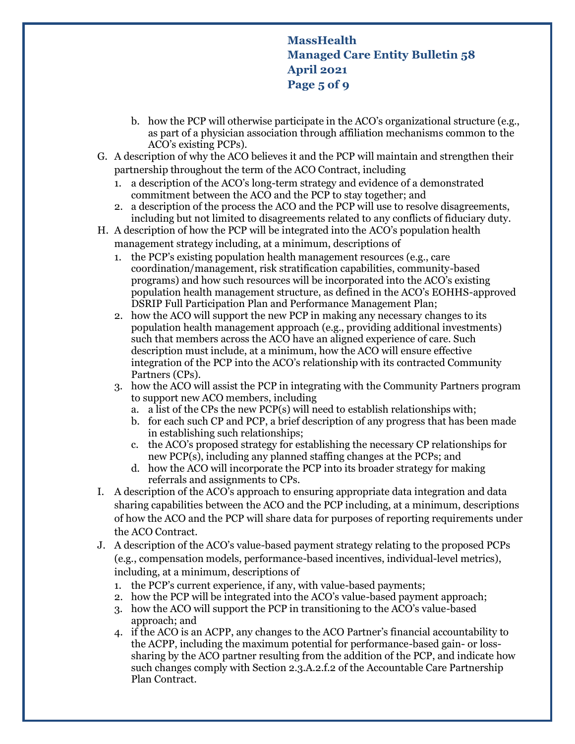# **MassHealth Managed Care Entity Bulletin 58 April 2021 Page 5 of 9**

- b. how the PCP will otherwise participate in the ACO's organizational structure (e.g., as part of a physician association through affiliation mechanisms common to the ACO's existing PCPs).
- G. A description of why the ACO believes it and the PCP will maintain and strengthen their partnership throughout the term of the ACO Contract, including
	- 1. a description of the ACO's long-term strategy and evidence of a demonstrated commitment between the ACO and the PCP to stay together; and
	- 2. a description of the process the ACO and the PCP will use to resolve disagreements, including but not limited to disagreements related to any conflicts of fiduciary duty.
- H. A description of how the PCP will be integrated into the ACO's population health management strategy including, at a minimum, descriptions of
	- 1. the PCP's existing population health management resources (e.g., care coordination/management, risk stratification capabilities, community-based programs) and how such resources will be incorporated into the ACO's existing population health management structure, as defined in the ACO's EOHHS-approved DSRIP Full Participation Plan and Performance Management Plan;
	- 2. how the ACO will support the new PCP in making any necessary changes to its population health management approach (e.g., providing additional investments) such that members across the ACO have an aligned experience of care. Such description must include, at a minimum, how the ACO will ensure effective integration of the PCP into the ACO's relationship with its contracted Community Partners (CPs).
	- 3. how the ACO will assist the PCP in integrating with the Community Partners program to support new ACO members, including
		- a. a list of the CPs the new PCP(s) will need to establish relationships with;
		- b. for each such CP and PCP, a brief description of any progress that has been made in establishing such relationships;
		- c. the ACO's proposed strategy for establishing the necessary CP relationships for new PCP(s), including any planned staffing changes at the PCPs; and
		- d. how the ACO will incorporate the PCP into its broader strategy for making referrals and assignments to CPs.
- I. A description of the ACO's approach to ensuring appropriate data integration and data sharing capabilities between the ACO and the PCP including, at a minimum, descriptions of how the ACO and the PCP will share data for purposes of reporting requirements under the ACO Contract.
- J. A description of the ACO's value-based payment strategy relating to the proposed PCPs (e.g., compensation models, performance-based incentives, individual-level metrics), including, at a minimum, descriptions of
	- 1. the PCP's current experience, if any, with value-based payments;
	- 2. how the PCP will be integrated into the ACO's value-based payment approach;
	- 3. how the ACO will support the PCP in transitioning to the ACO's value-based approach; and
	- 4. if the ACO is an ACPP, any changes to the ACO Partner's financial accountability to the ACPP, including the maximum potential for performance-based gain- or losssharing by the ACO partner resulting from the addition of the PCP, and indicate how such changes comply with Section 2.3.A.2.f.2 of the Accountable Care Partnership Plan Contract.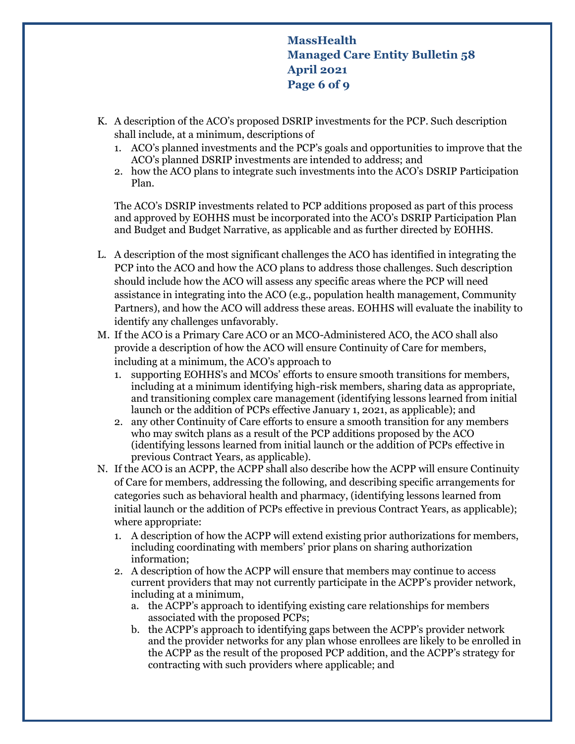**MassHealth Managed Care Entity Bulletin 58 April 2021 Page 6 of 9**

- K. A description of the ACO's proposed DSRIP investments for the PCP. Such description shall include, at a minimum, descriptions of
	- 1. ACO's planned investments and the PCP's goals and opportunities to improve that the ACO's planned DSRIP investments are intended to address; and
	- 2. how the ACO plans to integrate such investments into the ACO's DSRIP Participation Plan.

The ACO's DSRIP investments related to PCP additions proposed as part of this process and approved by EOHHS must be incorporated into the ACO's DSRIP Participation Plan and Budget and Budget Narrative, as applicable and as further directed by EOHHS.

- L. A description of the most significant challenges the ACO has identified in integrating the PCP into the ACO and how the ACO plans to address those challenges. Such description should include how the ACO will assess any specific areas where the PCP will need assistance in integrating into the ACO (e.g., population health management, Community Partners), and how the ACO will address these areas. EOHHS will evaluate the inability to identify any challenges unfavorably.
- M. If the ACO is a Primary Care ACO or an MCO-Administered ACO, the ACO shall also provide a description of how the ACO will ensure Continuity of Care for members, including at a minimum, the ACO's approach to
	- 1. supporting EOHHS's and MCOs' efforts to ensure smooth transitions for members, including at a minimum identifying high-risk members, sharing data as appropriate, and transitioning complex care management (identifying lessons learned from initial launch or the addition of PCPs effective January 1, 2021, as applicable); and
	- 2. any other Continuity of Care efforts to ensure a smooth transition for any members who may switch plans as a result of the PCP additions proposed by the ACO (identifying lessons learned from initial launch or the addition of PCPs effective in previous Contract Years, as applicable).
- N. If the ACO is an ACPP, the ACPP shall also describe how the ACPP will ensure Continuity of Care for members, addressing the following, and describing specific arrangements for categories such as behavioral health and pharmacy, (identifying lessons learned from initial launch or the addition of PCPs effective in previous Contract Years, as applicable); where appropriate:
	- 1. A description of how the ACPP will extend existing prior authorizations for members, including coordinating with members' prior plans on sharing authorization information;
	- 2. A description of how the ACPP will ensure that members may continue to access current providers that may not currently participate in the ACPP's provider network, including at a minimum,
		- a. the ACPP's approach to identifying existing care relationships for members associated with the proposed PCPs;
		- b. the ACPP's approach to identifying gaps between the ACPP's provider network and the provider networks for any plan whose enrollees are likely to be enrolled in the ACPP as the result of the proposed PCP addition, and the ACPP's strategy for contracting with such providers where applicable; and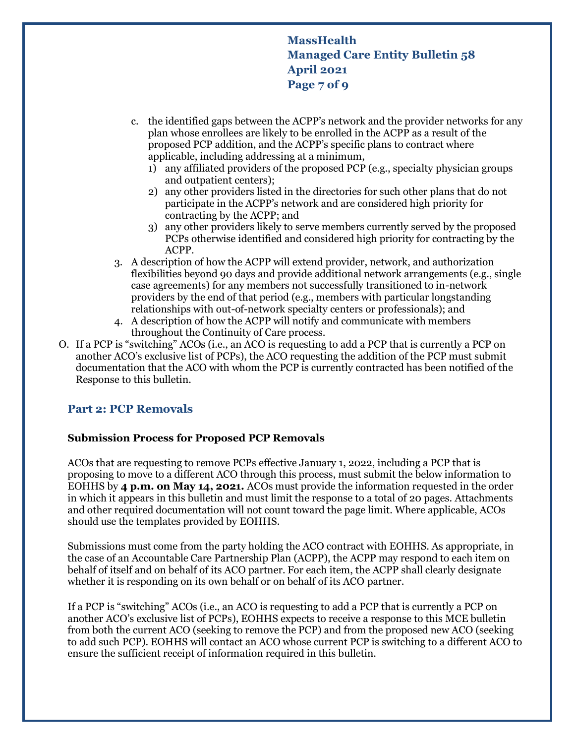**MassHealth Managed Care Entity Bulletin 58 April 2021 Page 7 of 9**

- c. the identified gaps between the ACPP's network and the provider networks for any plan whose enrollees are likely to be enrolled in the ACPP as a result of the proposed PCP addition, and the ACPP's specific plans to contract where applicable, including addressing at a minimum,
	- 1) any affiliated providers of the proposed PCP (e.g., specialty physician groups and outpatient centers);
	- 2) any other providers listed in the directories for such other plans that do not participate in the ACPP's network and are considered high priority for contracting by the ACPP; and
	- 3) any other providers likely to serve members currently served by the proposed PCPs otherwise identified and considered high priority for contracting by the ACPP.
- 3. A description of how the ACPP will extend provider, network, and authorization flexibilities beyond 90 days and provide additional network arrangements (e.g., single case agreements) for any members not successfully transitioned to in-network providers by the end of that period (e.g., members with particular longstanding relationships with out-of-network specialty centers or professionals); and
- 4. A description of how the ACPP will notify and communicate with members throughout the Continuity of Care process.
- O. If a PCP is "switching" ACOs (i.e., an ACO is requesting to add a PCP that is currently a PCP on another ACO's exclusive list of PCPs), the ACO requesting the addition of the PCP must submit documentation that the ACO with whom the PCP is currently contracted has been notified of the Response to this bulletin.

### **Part 2: PCP Removals**

#### **Submission Process for Proposed PCP Removals**

ACOs that are requesting to remove PCPs effective January 1, 2022, including a PCP that is proposing to move to a different ACO through this process, must submit the below information to EOHHS by **4 p.m. on May 14, 2021.** ACOs must provide the information requested in the order in which it appears in this bulletin and must limit the response to a total of 20 pages. Attachments and other required documentation will not count toward the page limit. Where applicable, ACOs should use the templates provided by EOHHS.

Submissions must come from the party holding the ACO contract with EOHHS. As appropriate, in the case of an Accountable Care Partnership Plan (ACPP), the ACPP may respond to each item on behalf of itself and on behalf of its ACO partner. For each item, the ACPP shall clearly designate whether it is responding on its own behalf or on behalf of its ACO partner.

If a PCP is "switching" ACOs (i.e., an ACO is requesting to add a PCP that is currently a PCP on another ACO's exclusive list of PCPs), EOHHS expects to receive a response to this MCE bulletin from both the current ACO (seeking to remove the PCP) and from the proposed new ACO (seeking to add such PCP). EOHHS will contact an ACO whose current PCP is switching to a different ACO to ensure the sufficient receipt of information required in this bulletin.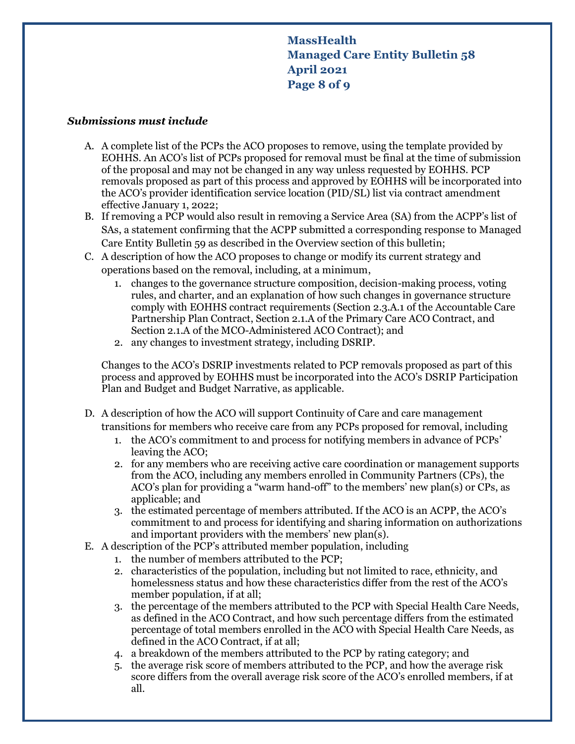# **MassHealth Managed Care Entity Bulletin 58 April 2021 Page 8 of 9**

#### *Submissions must include*

- A. A complete list of the PCPs the ACO proposes to remove, using the template provided by EOHHS. An ACO's list of PCPs proposed for removal must be final at the time of submission of the proposal and may not be changed in any way unless requested by EOHHS. PCP removals proposed as part of this process and approved by EOHHS will be incorporated into the ACO's provider identification service location (PID/SL) list via contract amendment effective January 1, 2022;
- B. If removing a PCP would also result in removing a Service Area (SA) from the ACPP's list of SAs, a statement confirming that the ACPP submitted a corresponding response to Managed Care Entity Bulletin 59 as described in the Overview section of this bulletin;
- C. A description of how the ACO proposes to change or modify its current strategy and operations based on the removal, including, at a minimum,
	- 1. changes to the governance structure composition, decision-making process, voting rules, and charter, and an explanation of how such changes in governance structure comply with EOHHS contract requirements (Section 2.3.A.1 of the Accountable Care Partnership Plan Contract, Section 2.1.A of the Primary Care ACO Contract, and Section 2.1.A of the MCO-Administered ACO Contract); and
	- 2. any changes to investment strategy, including DSRIP.

Changes to the ACO's DSRIP investments related to PCP removals proposed as part of this process and approved by EOHHS must be incorporated into the ACO's DSRIP Participation Plan and Budget and Budget Narrative, as applicable.

- D. A description of how the ACO will support Continuity of Care and care management transitions for members who receive care from any PCPs proposed for removal, including
	- 1. the ACO's commitment to and process for notifying members in advance of PCPs' leaving the ACO;
	- 2. for any members who are receiving active care coordination or management supports from the ACO, including any members enrolled in Community Partners (CPs), the ACO's plan for providing a "warm hand-off" to the members' new plan(s) or CPs, as applicable; and
	- 3. the estimated percentage of members attributed. If the ACO is an ACPP, the ACO's commitment to and process for identifying and sharing information on authorizations and important providers with the members' new plan(s).
- E. A description of the PCP's attributed member population, including
	- 1. the number of members attributed to the PCP;
	- 2. characteristics of the population, including but not limited to race, ethnicity, and homelessness status and how these characteristics differ from the rest of the ACO's member population, if at all;
	- 3. the percentage of the members attributed to the PCP with Special Health Care Needs, as defined in the ACO Contract, and how such percentage differs from the estimated percentage of total members enrolled in the ACO with Special Health Care Needs, as defined in the ACO Contract, if at all;
	- 4. a breakdown of the members attributed to the PCP by rating category; and
	- 5. the average risk score of members attributed to the PCP, and how the average risk score differs from the overall average risk score of the ACO's enrolled members, if at all.